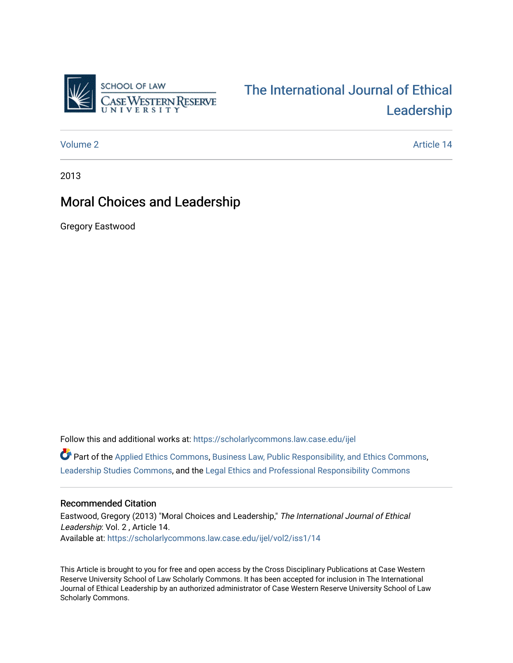

# [The International Journal of Ethical](https://scholarlycommons.law.case.edu/ijel)  [Leadership](https://scholarlycommons.law.case.edu/ijel)

[Volume 2](https://scholarlycommons.law.case.edu/ijel/vol2) Article 14

2013

# Moral Choices and Leadership

Gregory Eastwood

Follow this and additional works at: [https://scholarlycommons.law.case.edu/ijel](https://scholarlycommons.law.case.edu/ijel?utm_source=scholarlycommons.law.case.edu%2Fijel%2Fvol2%2Fiss1%2F14&utm_medium=PDF&utm_campaign=PDFCoverPages) 

 $\bullet$  Part of the [Applied Ethics Commons](http://network.bepress.com/hgg/discipline/1392?utm_source=scholarlycommons.law.case.edu%2Fijel%2Fvol2%2Fiss1%2F14&utm_medium=PDF&utm_campaign=PDFCoverPages), [Business Law, Public Responsibility, and Ethics Commons](http://network.bepress.com/hgg/discipline/628?utm_source=scholarlycommons.law.case.edu%2Fijel%2Fvol2%2Fiss1%2F14&utm_medium=PDF&utm_campaign=PDFCoverPages), [Leadership Studies Commons](http://network.bepress.com/hgg/discipline/1250?utm_source=scholarlycommons.law.case.edu%2Fijel%2Fvol2%2Fiss1%2F14&utm_medium=PDF&utm_campaign=PDFCoverPages), and the [Legal Ethics and Professional Responsibility Commons](http://network.bepress.com/hgg/discipline/895?utm_source=scholarlycommons.law.case.edu%2Fijel%2Fvol2%2Fiss1%2F14&utm_medium=PDF&utm_campaign=PDFCoverPages) 

## Recommended Citation

Eastwood, Gregory (2013) "Moral Choices and Leadership," The International Journal of Ethical Leadership: Vol. 2 , Article 14. Available at: [https://scholarlycommons.law.case.edu/ijel/vol2/iss1/14](https://scholarlycommons.law.case.edu/ijel/vol2/iss1/14?utm_source=scholarlycommons.law.case.edu%2Fijel%2Fvol2%2Fiss1%2F14&utm_medium=PDF&utm_campaign=PDFCoverPages) 

This Article is brought to you for free and open access by the Cross Disciplinary Publications at Case Western Reserve University School of Law Scholarly Commons. It has been accepted for inclusion in The International Journal of Ethical Leadership by an authorized administrator of Case Western Reserve University School of Law Scholarly Commons.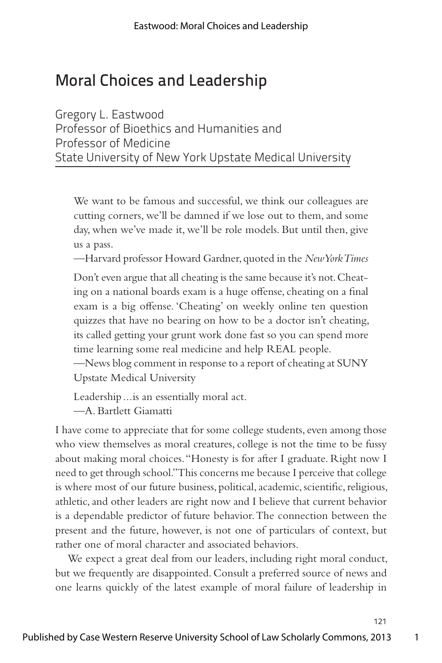# Moral Choices and Leadership

Gregory L. Eastwood Professor of Bioethics and Humanities and Professor of Medicine State University of New York Upstate Medical University

We want to be famous and successful, we think our colleagues are cutting corners, we'll be damned if we lose out to them, and some day, when we've made it, we'll be role models. But until then, give us a pass.

—Harvard professor Howard Gardner, quoted in the *New York Times*

Don't even argue that all cheating is the same because it's not. Cheating on a national boards exam is a huge offense, cheating on a final exam is a big offense. 'Cheating' on weekly online ten question quizzes that have no bearing on how to be a doctor isn't cheating, its called getting your grunt work done fast so you can spend more time learning some real medicine and help REAL people.

—News blog comment in response to a report of cheating at SUNY Upstate Medical University

Leadership ... is an essentially moral act. —A. Bartlett Giamatti

I have come to appreciate that for some college students, even among those who view themselves as moral creatures, college is not the time to be fussy about making moral choices. "Honesty is for after I graduate. Right now I need to get through school." This concerns me because I perceive that college is where most of our future business, political, academic, scientific, religious, athletic, and other leaders are right now and I believe that current behavior is a dependable predictor of future behavior. The connection between the present and the future, however, is not one of particulars of context, but rather one of moral character and associated behaviors.

We expect a great deal from our leaders, including right moral conduct, but we frequently are disappointed. Consult a preferred source of news and one learns quickly of the latest example of moral failure of leadership in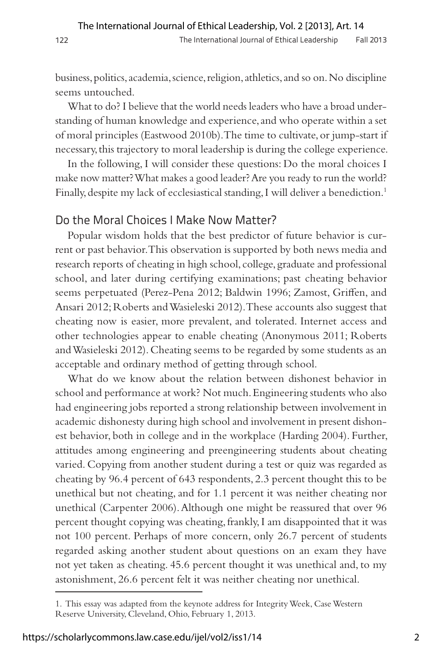business, politics, academia, science, religion, athletics, and so on. No discipline seems untouched.

What to do? I believe that the world needs leaders who have a broad understanding of human knowledge and experience, and who operate within a set of moral principles (Eastwood 2010b). The time to cultivate, or jump-start if necessary, this trajectory to moral leadership is during the college experience.

In the following, I will consider these questions: Do the moral choices I make now matter? What makes a good leader? Are you ready to run the world? Finally, despite my lack of ecclesiastical standing, I will deliver a benediction.<sup>1</sup>

#### Do the Moral Choices I Make Now Matter?

Popular wisdom holds that the best predictor of future behavior is current or past behavior. This observation is supported by both news media and research reports of cheating in high school, college, graduate and professional school, and later during certifying examinations; past cheating behavior seems perpetuated (Perez-Pena 2012; Baldwin 1996; Zamost, Griffen, and Ansari 2012; Roberts and Wasieleski 2012). These accounts also suggest that cheating now is easier, more prevalent, and tolerated. Internet access and other technologies appear to enable cheating (Anonymous 2011; Roberts and Wasieleski 2012). Cheating seems to be regarded by some students as an acceptable and ordinary method of getting through school.

What do we know about the relation between dishonest behavior in school and performance at work? Not much. Engineering students who also had engineering jobs reported a strong relationship between involvement in academic dishonesty during high school and involvement in present dishonest behavior, both in college and in the workplace (Harding 2004). Further, attitudes among engineering and preengineering students about cheating varied. Copying from another student during a test or quiz was regarded as cheating by 96.4 percent of 643 respondents, 2.3 percent thought this to be unethical but not cheating, and for 1.1 percent it was neither cheating nor unethical (Carpenter 2006). Although one might be reassured that over 96 percent thought copying was cheating, frankly, I am disappointed that it was not 100 percent. Perhaps of more concern, only 26.7 percent of students regarded asking another student about questions on an exam they have not yet taken as cheating. 45.6 percent thought it was unethical and, to my astonishment, 26.6 percent felt it was neither cheating nor unethical.

<sup>1.</sup> This essay was adapted from the keynote address for Integrity Week, Case Western Reserve University, Cleveland, Ohio, February 1, 2013.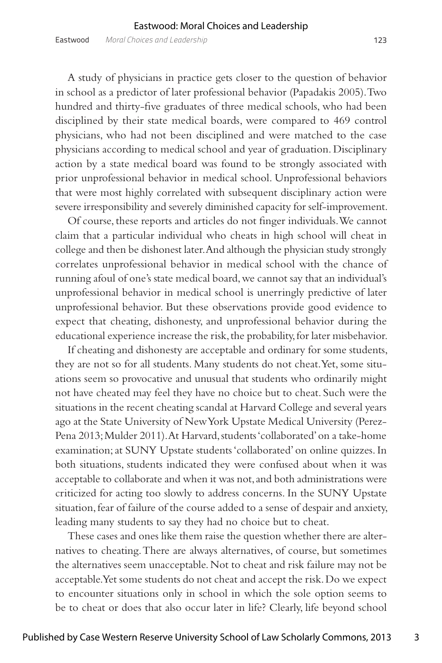A study of physicians in practice gets closer to the question of behavior in school as a predictor of later professional behavior (Papadakis 2005). Two hundred and thirty-five graduates of three medical schools, who had been disciplined by their state medical boards, were compared to 469 control physicians, who had not been disciplined and were matched to the case physicians according to medical school and year of graduation. Disciplinary action by a state medical board was found to be strongly associated with prior unprofessional behavior in medical school. Unprofessional behaviors that were most highly correlated with subsequent disciplinary action were severe irresponsibility and severely diminished capacity for self-improvement.

Of course, these reports and articles do not finger individuals. We cannot claim that a particular individual who cheats in high school will cheat in college and then be dishonest later. And although the physician study strongly correlates unprofessional behavior in medical school with the chance of running afoul of one's state medical board, we cannot say that an individual's unprofessional behavior in medical school is unerringly predictive of later unprofessional behavior. But these observations provide good evidence to expect that cheating, dishonesty, and unprofessional behavior during the educational experience increase the risk, the probability, for later misbehavior.

If cheating and dishonesty are acceptable and ordinary for some students, they are not so for all students. Many students do not cheat. Yet, some situations seem so provocative and unusual that students who ordinarily might not have cheated may feel they have no choice but to cheat. Such were the situations in the recent cheating scandal at Harvard College and several years ago at the State University of New York Upstate Medical University (Perez-Pena 2013; Mulder 2011). At Harvard, students 'collaborated' on a take-home examination; at SUNY Upstate students 'collaborated' on online quizzes. In both situations, students indicated they were confused about when it was acceptable to collaborate and when it was not, and both administrations were criticized for acting too slowly to address concerns. In the SUNY Upstate situation, fear of failure of the course added to a sense of despair and anxiety, leading many students to say they had no choice but to cheat.

These cases and ones like them raise the question whether there are alternatives to cheating. There are always alternatives, of course, but sometimes the alternatives seem unacceptable. Not to cheat and risk failure may not be acceptable. Yet some students do not cheat and accept the risk. Do we expect to encounter situations only in school in which the sole option seems to be to cheat or does that also occur later in life? Clearly, life beyond school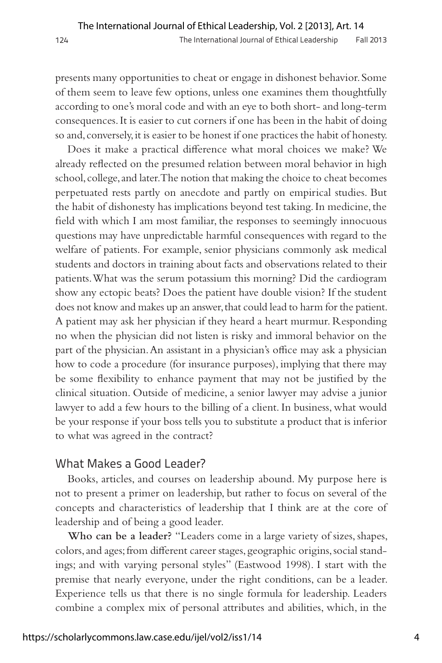presents many opportunities to cheat or engage in dishonest behavior. Some of them seem to leave few options, unless one examines them thoughtfully according to one's moral code and with an eye to both short- and long-term consequences. It is easier to cut corners if one has been in the habit of doing so and, conversely, it is easier to be honest if one practices the habit of honesty.

Does it make a practical difference what moral choices we make? We already reflected on the presumed relation between moral behavior in high school, college, and later. The notion that making the choice to cheat becomes perpetuated rests partly on anecdote and partly on empirical studies. But the habit of dishonesty has implications beyond test taking. In medicine, the field with which I am most familiar, the responses to seemingly innocuous questions may have unpredictable harmful consequences with regard to the welfare of patients. For example, senior physicians commonly ask medical students and doctors in training about facts and observations related to their patients. What was the serum potassium this morning? Did the cardiogram show any ectopic beats? Does the patient have double vision? If the student does not know and makes up an answer, that could lead to harm for the patient. A patient may ask her physician if they heard a heart murmur. Responding no when the physician did not listen is risky and immoral behavior on the part of the physician. An assistant in a physician's office may ask a physician how to code a procedure (for insurance purposes), implying that there may be some flexibility to enhance payment that may not be justified by the clinical situation. Outside of medicine, a senior lawyer may advise a junior lawyer to add a few hours to the billing of a client. In business, what would be your response if your boss tells you to substitute a product that is inferior to what was agreed in the contract?

### What Makes a Good Leader?

Books, articles, and courses on leadership abound. My purpose here is not to present a primer on leadership, but rather to focus on several of the concepts and characteristics of leadership that I think are at the core of leadership and of being a good leader.

**Who can be a leader?** "Leaders come in a large variety of sizes, shapes, colors, and ages; from different career stages, geographic origins, social standings; and with varying personal styles" (Eastwood 1998). I start with the premise that nearly everyone, under the right conditions, can be a leader. Experience tells us that there is no single formula for leadership. Leaders combine a complex mix of personal attributes and abilities, which, in the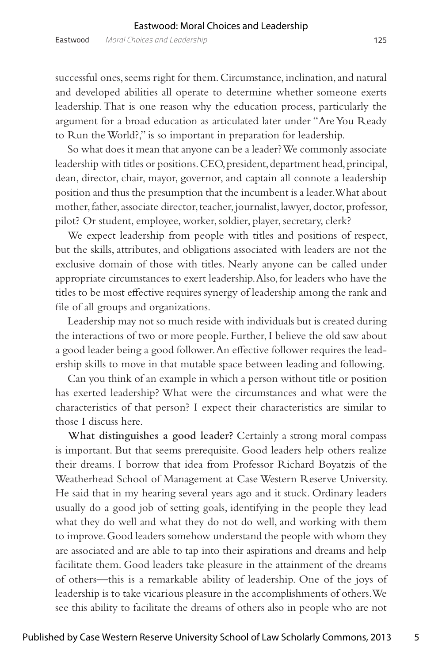successful ones, seems right for them. Circumstance, inclination, and natural and developed abilities all operate to determine whether someone exerts leadership. That is one reason why the education process, particularly the argument for a broad education as articulated later under "Are You Ready to Run the World?," is so important in preparation for leadership.

So what does it mean that anyone can be a leader? We commonly associate leadership with titles or positions. CEO, president, department head, principal, dean, director, chair, mayor, governor, and captain all connote a leadership position and thus the presumption that the incumbent is a leader. What about mother, father, associate director, teacher, journalist, lawyer, doctor, professor, pilot? Or student, employee, worker, soldier, player, secretary, clerk?

We expect leadership from people with titles and positions of respect, but the skills, attributes, and obligations associated with leaders are not the exclusive domain of those with titles. Nearly anyone can be called under appropriate circumstances to exert leadership. Also, for leaders who have the titles to be most effective requires synergy of leadership among the rank and file of all groups and organizations.

Leadership may not so much reside with individuals but is created during the interactions of two or more people. Further, I believe the old saw about a good leader being a good follower. An effective follower requires the leadership skills to move in that mutable space between leading and following.

Can you think of an example in which a person without title or position has exerted leadership? What were the circumstances and what were the characteristics of that person? I expect their characteristics are similar to those I discuss here.

**What distinguishes a good leader?** Certainly a strong moral compass is important. But that seems prerequisite. Good leaders help others realize their dreams. I borrow that idea from Professor Richard Boyatzis of the Weatherhead School of Management at Case Western Reserve University. He said that in my hearing several years ago and it stuck. Ordinary leaders usually do a good job of setting goals, identifying in the people they lead what they do well and what they do not do well, and working with them to improve. Good leaders somehow understand the people with whom they are associated and are able to tap into their aspirations and dreams and help facilitate them. Good leaders take pleasure in the attainment of the dreams of others—this is a remarkable ability of leadership. One of the joys of leadership is to take vicarious pleasure in the accomplishments of others. We see this ability to facilitate the dreams of others also in people who are not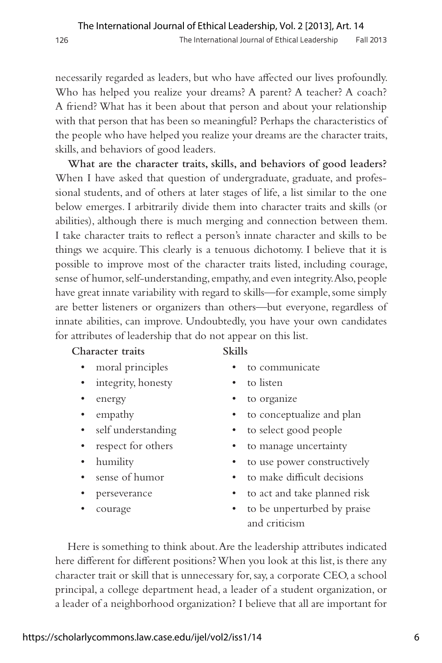necessarily regarded as leaders, but who have affected our lives profoundly. Who has helped you realize your dreams? A parent? A teacher? A coach? A friend? What has it been about that person and about your relationship with that person that has been so meaningful? Perhaps the characteristics of the people who have helped you realize your dreams are the character traits, skills, and behaviors of good leaders.

**What are the character traits, skills, and behaviors of good leaders?**  When I have asked that question of undergraduate, graduate, and professional students, and of others at later stages of life, a list similar to the one below emerges. I arbitrarily divide them into character traits and skills (or abilities), although there is much merging and connection between them. I take character traits to reflect a person's innate character and skills to be things we acquire. This clearly is a tenuous dichotomy. I believe that it is possible to improve most of the character traits listed, including courage, sense of humor, self-understanding, empathy, and even integrity. Also, people have great innate variability with regard to skills—for example, some simply are better listeners or organizers than others—but everyone, regardless of innate abilities, can improve. Undoubtedly, you have your own candidates for attributes of leadership that do not appear on this list.

#### **Character traits Skills**

- 
- integrity, honesty to listen
- 
- 
- 
- 
- 
- 
- 
- 
- 
- moral principles to communicate
	-
- energy to organize
- empathy to conceptualize and plan
- self understanding to select good people
	- respect for others to manage uncertainty
- humility to use power constructively
	- sense of humor to make difficult decisions
	- perseverance to act and take planned risk
	- courage to be unperturbed by praise and criticism

Here is something to think about. Are the leadership attributes indicated here different for different positions? When you look at this list, is there any character trait or skill that is unnecessary for, say, a corporate CEO, a school principal, a college department head, a leader of a student organization, or a leader of a neighborhood organization? I believe that all are important for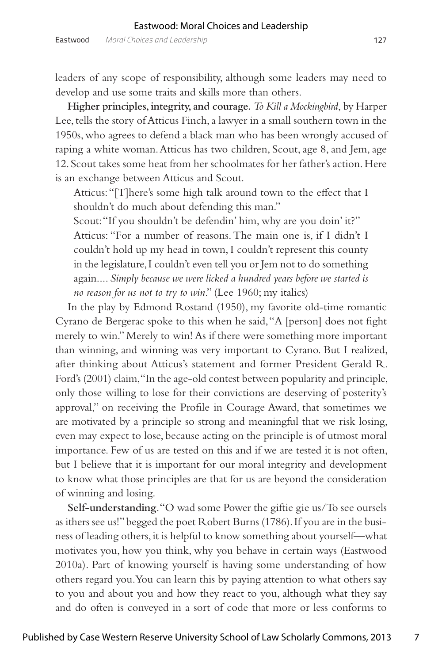leaders of any scope of responsibility, although some leaders may need to develop and use some traits and skills more than others.

**Higher principles, integrity, and courage.** *To Kill a Mockingbird*, by Harper Lee, tells the story of Atticus Finch, a lawyer in a small southern town in the 1950s, who agrees to defend a black man who has been wrongly accused of raping a white woman. Atticus has two children, Scout, age 8, and Jem, age 12. Scout takes some heat from her schoolmates for her father's action. Here is an exchange between Atticus and Scout.

Atticus: "[T]here's some high talk around town to the effect that I shouldn't do much about defending this man."

Scout: "If you shouldn't be defendin' him, why are you doin' it?" Atticus: "For a number of reasons. The main one is, if I didn't I couldn't hold up my head in town, I couldn't represent this county in the legislature, I couldn't even tell you or Jem not to do something again.... *Simply because we were licked a hundred years before we started is no reason for us not to try to win*." (Lee 1960; my italics)

In the play by Edmond Rostand (1950), my favorite old-time romantic Cyrano de Bergerac spoke to this when he said, "A [person] does not fight merely to win." Merely to win! As if there were something more important than winning, and winning was very important to Cyrano. But I realized, after thinking about Atticus's statement and former President Gerald R. Ford's (2001) claim, "In the age-old contest between popularity and principle, only those willing to lose for their convictions are deserving of posterity's approval," on receiving the Profile in Courage Award, that sometimes we are motivated by a principle so strong and meaningful that we risk losing, even may expect to lose, because acting on the principle is of utmost moral importance. Few of us are tested on this and if we are tested it is not often, but I believe that it is important for our moral integrity and development to know what those principles are that for us are beyond the consideration of winning and losing.

**Self-understanding**. "O wad some Power the giftie gie us/To see oursels as ithers see us!" begged the poet Robert Burns (1786). If you are in the business of leading others, it is helpful to know something about yourself—what motivates you, how you think, why you behave in certain ways (Eastwood 2010a). Part of knowing yourself is having some understanding of how others regard you. You can learn this by paying attention to what others say to you and about you and how they react to you, although what they say and do often is conveyed in a sort of code that more or less conforms to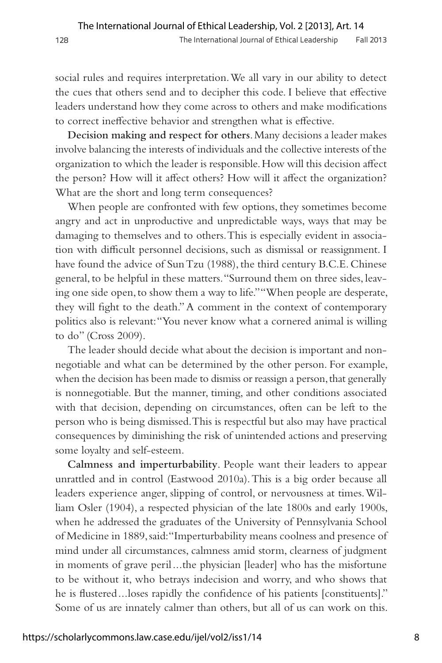social rules and requires interpretation. We all vary in our ability to detect the cues that others send and to decipher this code. I believe that effective leaders understand how they come across to others and make modifications to correct ineffective behavior and strengthen what is effective.

**Decision making and respect for others**. Many decisions a leader makes involve balancing the interests of individuals and the collective interests of the organization to which the leader is responsible. How will this decision affect the person? How will it affect others? How will it affect the organization? What are the short and long term consequences?

When people are confronted with few options, they sometimes become angry and act in unproductive and unpredictable ways, ways that may be damaging to themselves and to others. This is especially evident in association with difficult personnel decisions, such as dismissal or reassignment. I have found the advice of Sun Tzu (1988), the third century B.C.E. Chinese general, to be helpful in these matters. "Surround them on three sides, leaving one side open, to show them a way to life." "When people are desperate, they will fight to the death." A comment in the context of contemporary politics also is relevant: "You never know what a cornered animal is willing to do" (Cross 2009).

The leader should decide what about the decision is important and nonnegotiable and what can be determined by the other person. For example, when the decision has been made to dismiss or reassign a person, that generally is nonnegotiable. But the manner, timing, and other conditions associated with that decision, depending on circumstances, often can be left to the person who is being dismissed. This is respectful but also may have practical consequences by diminishing the risk of unintended actions and preserving some loyalty and self-esteem.

**Calmness and imperturbability**. People want their leaders to appear unrattled and in control (Eastwood 2010a). This is a big order because all leaders experience anger, slipping of control, or nervousness at times. William Osler (1904), a respected physician of the late 1800s and early 1900s, when he addressed the graduates of the University of Pennsylvania School of Medicine in 1889, said: "Imperturbability means coolness and presence of mind under all circumstances, calmness amid storm, clearness of judgment in moments of grave peril...the physician [leader] who has the misfortune to be without it, who betrays indecision and worry, and who shows that he is flustered ... loses rapidly the confidence of his patients [constituents]." Some of us are innately calmer than others, but all of us can work on this.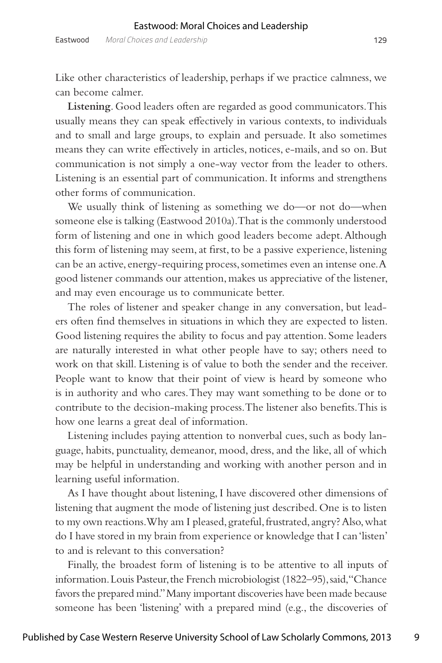Eastwood *Moral Choices and Leadership* 129

Like other characteristics of leadership, perhaps if we practice calmness, we can become calmer.

**Listening**. Good leaders often are regarded as good communicators. This usually means they can speak effectively in various contexts, to individuals and to small and large groups, to explain and persuade. It also sometimes means they can write effectively in articles, notices, e-mails, and so on. But communication is not simply a one-way vector from the leader to others. Listening is an essential part of communication. It informs and strengthens other forms of communication.

We usually think of listening as something we do—or not do—when someone else is talking (Eastwood 2010a). That is the commonly understood form of listening and one in which good leaders become adept. Although this form of listening may seem, at first, to be a passive experience, listening can be an active, energy-requiring process, sometimes even an intense one. A good listener commands our attention, makes us appreciative of the listener, and may even encourage us to communicate better.

The roles of listener and speaker change in any conversation, but leaders often find themselves in situations in which they are expected to listen. Good listening requires the ability to focus and pay attention. Some leaders are naturally interested in what other people have to say; others need to work on that skill. Listening is of value to both the sender and the receiver. People want to know that their point of view is heard by someone who is in authority and who cares. They may want something to be done or to contribute to the decision-making process. The listener also benefits. This is how one learns a great deal of information.

Listening includes paying attention to nonverbal cues, such as body language, habits, punctuality, demeanor, mood, dress, and the like, all of which may be helpful in understanding and working with another person and in learning useful information.

As I have thought about listening, I have discovered other dimensions of listening that augment the mode of listening just described. One is to listen to my own reactions. Why am I pleased, grateful, frustrated, angry? Also, what do I have stored in my brain from experience or knowledge that I can 'listen' to and is relevant to this conversation?

Finally, the broadest form of listening is to be attentive to all inputs of information. Louis Pasteur, the French microbiologist (1822–95), said, "Chance favors the prepared mind." Many important discoveries have been made because someone has been 'listening' with a prepared mind (e.g., the discoveries of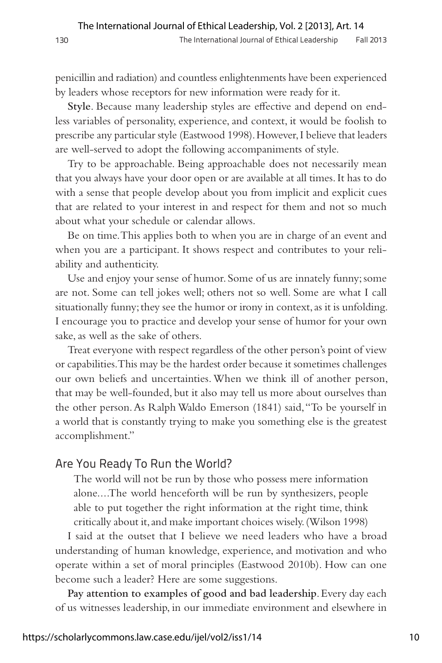penicillin and radiation) and countless enlightenments have been experienced by leaders whose receptors for new information were ready for it.

**Style**. Because many leadership styles are effective and depend on endless variables of personality, experience, and context, it would be foolish to prescribe any particular style (Eastwood 1998). However, I believe that leaders are well-served to adopt the following accompaniments of style.

Try to be approachable. Being approachable does not necessarily mean that you always have your door open or are available at all times. It has to do with a sense that people develop about you from implicit and explicit cues that are related to your interest in and respect for them and not so much about what your schedule or calendar allows.

Be on time. This applies both to when you are in charge of an event and when you are a participant. It shows respect and contributes to your reliability and authenticity.

Use and enjoy your sense of humor. Some of us are innately funny; some are not. Some can tell jokes well; others not so well. Some are what I call situationally funny; they see the humor or irony in context, as it is unfolding. I encourage you to practice and develop your sense of humor for your own sake, as well as the sake of others.

Treat everyone with respect regardless of the other person's point of view or capabilities. This may be the hardest order because it sometimes challenges our own beliefs and uncertainties. When we think ill of another person, that may be well-founded, but it also may tell us more about ourselves than the other person. As Ralph Waldo Emerson (1841) said, "To be yourself in a world that is constantly trying to make you something else is the greatest accomplishment."

#### Are You Ready To Run the World?

The world will not be run by those who possess mere information alone....The world henceforth will be run by synthesizers, people able to put together the right information at the right time, think critically about it, and make important choices wisely. (Wilson 1998)

I said at the outset that I believe we need leaders who have a broad understanding of human knowledge, experience, and motivation and who operate within a set of moral principles (Eastwood 2010b). How can one become such a leader? Here are some suggestions.

**Pay attention to examples of good and bad leadership**. Every day each of us witnesses leadership, in our immediate environment and elsewhere in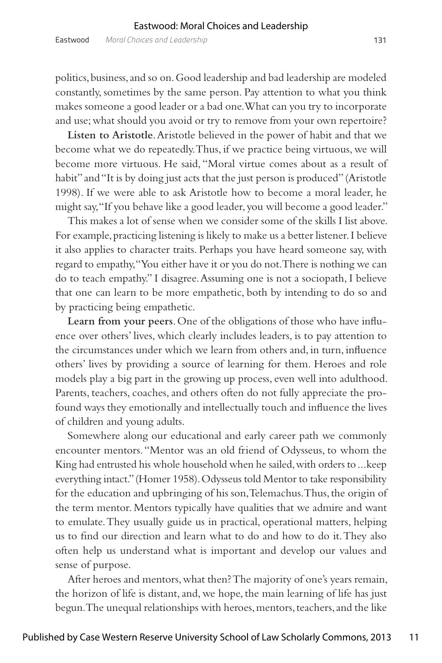politics, business, and so on. Good leadership and bad leadership are modeled constantly, sometimes by the same person. Pay attention to what you think makes someone a good leader or a bad one. What can you try to incorporate and use; what should you avoid or try to remove from your own repertoire?

**Listen to Aristotle**. Aristotle believed in the power of habit and that we become what we do repeatedly. Thus, if we practice being virtuous, we will become more virtuous. He said, "Moral virtue comes about as a result of habit" and "It is by doing just acts that the just person is produced" (Aristotle 1998). If we were able to ask Aristotle how to become a moral leader, he might say, "If you behave like a good leader, you will become a good leader."

This makes a lot of sense when we consider some of the skills I list above. For example, practicing listening is likely to make us a better listener. I believe it also applies to character traits. Perhaps you have heard someone say, with regard to empathy, "You either have it or you do not. There is nothing we can do to teach empathy." I disagree. Assuming one is not a sociopath, I believe that one can learn to be more empathetic, both by intending to do so and by practicing being empathetic.

**Learn from your peers**. One of the obligations of those who have influence over others' lives, which clearly includes leaders, is to pay attention to the circumstances under which we learn from others and, in turn, influence others' lives by providing a source of learning for them. Heroes and role models play a big part in the growing up process, even well into adulthood. Parents, teachers, coaches, and others often do not fully appreciate the profound ways they emotionally and intellectually touch and influence the lives of children and young adults.

Somewhere along our educational and early career path we commonly encounter mentors. "Mentor was an old friend of Odysseus, to whom the King had entrusted his whole household when he sailed, with orders to ... keep everything intact." (Homer 1958). Odysseus told Mentor to take responsibility for the education and upbringing of his son, Telemachus. Thus, the origin of the term mentor. Mentors typically have qualities that we admire and want to emulate. They usually guide us in practical, operational matters, helping us to find our direction and learn what to do and how to do it. They also often help us understand what is important and develop our values and sense of purpose.

After heroes and mentors, what then? The majority of one's years remain, the horizon of life is distant, and, we hope, the main learning of life has just begun. The unequal relationships with heroes, mentors, teachers, and the like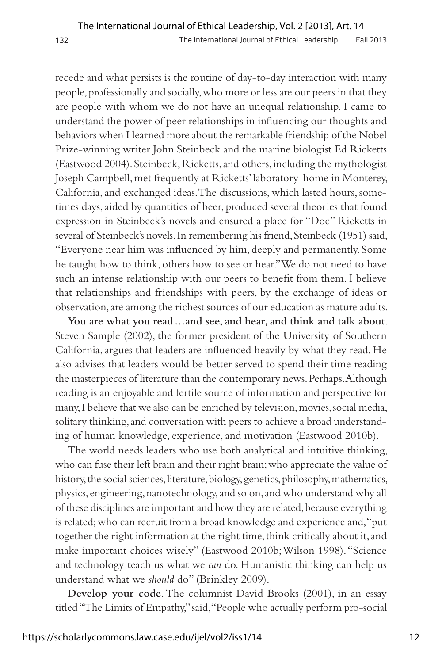recede and what persists is the routine of day-to-day interaction with many people, professionally and socially, who more or less are our peers in that they are people with whom we do not have an unequal relationship. I came to understand the power of peer relationships in influencing our thoughts and behaviors when I learned more about the remarkable friendship of the Nobel Prize-winning writer John Steinbeck and the marine biologist Ed Ricketts (Eastwood 2004). Steinbeck, Ricketts, and others, including the mythologist Joseph Campbell, met frequently at Ricketts' laboratory-home in Monterey, California, and exchanged ideas. The discussions, which lasted hours, sometimes days, aided by quantities of beer, produced several theories that found expression in Steinbeck's novels and ensured a place for "Doc" Ricketts in several of Steinbeck's novels. In remembering his friend, Steinbeck (1951) said, "Everyone near him was influenced by him, deeply and permanently. Some he taught how to think, others how to see or hear." We do not need to have such an intense relationship with our peers to benefit from them. I believe that relationships and friendships with peers, by the exchange of ideas or observation, are among the richest sources of our education as mature adults.

**You are what you read . . . and see, and hear, and think and talk about**. Steven Sample (2002), the former president of the University of Southern California, argues that leaders are influenced heavily by what they read. He also advises that leaders would be better served to spend their time reading the masterpieces of literature than the contemporary news. Perhaps. Although reading is an enjoyable and fertile source of information and perspective for many, I believe that we also can be enriched by television, movies, social media, solitary thinking, and conversation with peers to achieve a broad understanding of human knowledge, experience, and motivation (Eastwood 2010b).

The world needs leaders who use both analytical and intuitive thinking, who can fuse their left brain and their right brain; who appreciate the value of history, the social sciences, literature, biology, genetics, philosophy, mathematics, physics, engineering, nanotechnology, and so on, and who understand why all of these disciplines are important and how they are related, because everything is related; who can recruit from a broad knowledge and experience and, "put together the right information at the right time, think critically about it, and make important choices wisely" (Eastwood 2010b; Wilson 1998). "Science and technology teach us what we *can* do. Humanistic thinking can help us understand what we *should* do" (Brinkley 2009).

**Develop your code**. The columnist David Brooks (2001), in an essay titled "The Limits of Empathy," said, "People who actually perform pro-social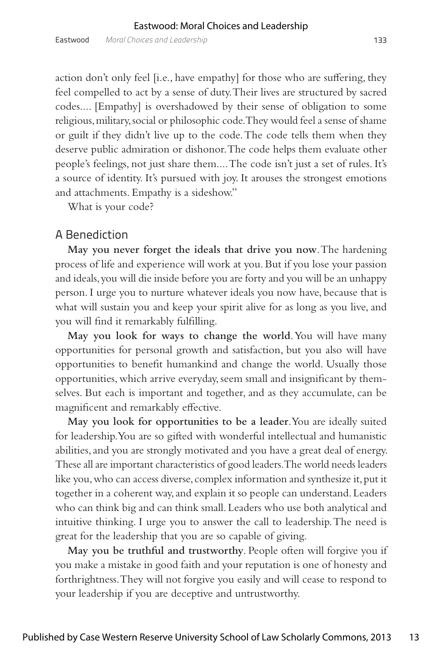action don't only feel [i.e., have empathy] for those who are suffering, they feel compelled to act by a sense of duty. Their lives are structured by sacred codes.... [Empathy] is overshadowed by their sense of obligation to some religious, military, social or philosophic code. They would feel a sense of shame or guilt if they didn't live up to the code. The code tells them when they deserve public admiration or dishonor. The code helps them evaluate other people's feelings, not just share them.... The code isn't just a set of rules. It's a source of identity. It's pursued with joy. It arouses the strongest emotions and attachments. Empathy is a sideshow."

What is your code?

### A Benediction

**May you never forget the ideals that drive you now**. The hardening process of life and experience will work at you. But if you lose your passion and ideals, you will die inside before you are forty and you will be an unhappy person. I urge you to nurture whatever ideals you now have, because that is what will sustain you and keep your spirit alive for as long as you live, and you will find it remarkably fulfilling.

**May you look for ways to change the world**. You will have many opportunities for personal growth and satisfaction, but you also will have opportunities to benefit humankind and change the world. Usually those opportunities, which arrive everyday, seem small and insignificant by themselves. But each is important and together, and as they accumulate, can be magnificent and remarkably effective.

**May you look for opportunities to be a leader**. You are ideally suited for leadership. You are so gifted with wonderful intellectual and humanistic abilities, and you are strongly motivated and you have a great deal of energy. These all are important characteristics of good leaders. The world needs leaders like you, who can access diverse, complex information and synthesize it, put it together in a coherent way, and explain it so people can understand. Leaders who can think big and can think small. Leaders who use both analytical and intuitive thinking. I urge you to answer the call to leadership. The need is great for the leadership that you are so capable of giving.

**May you be truthful and trustworthy**. People often will forgive you if you make a mistake in good faith and your reputation is one of honesty and forthrightness. They will not forgive you easily and will cease to respond to your leadership if you are deceptive and untrustworthy.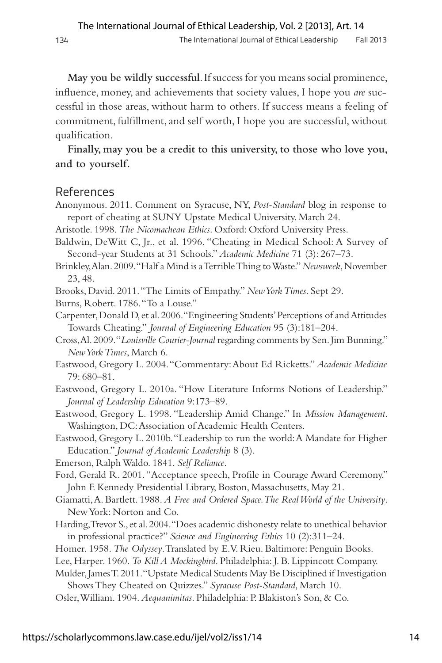**May you be wildly successful**. If success for you means social prominence, influence, money, and achievements that society values, I hope you *are* successful in those areas, without harm to others. If success means a feeling of commitment, fulfillment, and self worth, I hope you are successful, without qualification.

**Finally, may you be a credit to this university, to those who love you, and to yourself.**

#### References

Anonymous. 2011. Comment on Syracuse, NY, *Post-Standard* blog in response to report of cheating at SUNY Upstate Medical University. March 24.

Aristotle. 1998. *The Nicomachean Ethics*. Oxford: Oxford University Press.

Baldwin, DeWitt C, Jr., et al. 1996. "Cheating in Medical School: A Survey of Second-year Students at 31 Schools." *Academic Medicine* 71 (3): 267–73.

Brinkley, Alan. 2009. "Half a Mind is a Terrible Thing to Waste." *Newsweek*, November 23, 48.

- Brooks, David. 2011. "The Limits of Empathy." *New York Times*. Sept 29.
- Burns, Robert. 1786. "To a Louse."

Carpenter, Donald D, et al. 2006. "Engineering Students' Perceptions of and Attitudes Towards Cheating." *Journal of Engineering Education* 95 (3):181–204.

- Cross, Al. 2009. "*Louisville Courier-Journal* regarding comments by Sen. Jim Bunning." *New York Times*, March 6.
- Eastwood, Gregory L. 2004. "Commentary: About Ed Ricketts." *Academic Medicine*  79: 680–81.
- Eastwood, Gregory L. 2010a. "How Literature Informs Notions of Leadership." *Journal of Leadership Education* 9:173–89.
- Eastwood, Gregory L. 1998. "Leadership Amid Change." In *Mission Management*. Washington, DC: Association of Academic Health Centers.

Eastwood, Gregory L. 2010b. "Leadership to run the world: A Mandate for Higher Education." *Journal of Academic Leadership* 8 (3).

Emerson, Ralph Waldo. 1841. *Self Reliance*.

- Ford, Gerald R. 2001. "Acceptance speech, Profile in Courage Award Ceremony." John F. Kennedy Presidential Library, Boston, Massachusetts, May 21.
- Giamatti, A. Bartlett. 1988. *A Free and Ordered Space. The Real World of the University*. New York: Norton and Co.
- Harding, Trevor S., et al. 2004. "Does academic dishonesty relate to unethical behavior in professional practice?" *Science and Engineering Ethics* 10 (2):311–24.
- Homer. 1958. *The Odyssey*. Translated by E. V. Rieu. Baltimore: Penguin Books.
- Lee, Harper. 1960. *To Kill A Mockingbird*. Philadelphia: J. B. Lippincott Company.

Mulder, James T. 2011. "Upstate Medical Students May Be Disciplined if Investigation Shows They Cheated on Quizzes." *Syracuse Post-Standard*, March 10.

Osler, William. 1904. *Aequanimitas*. Philadelphia: P. Blakiston's Son, & Co.